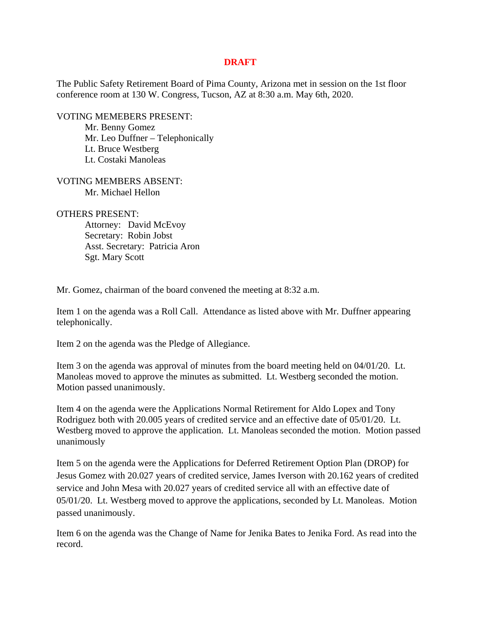## **DRAFT**

The Public Safety Retirement Board of Pima County, Arizona met in session on the 1st floor conference room at 130 W. Congress, Tucson, AZ at 8:30 a.m. May 6th, 2020.

VOTING MEMEBERS PRESENT:

Mr. Benny Gomez Mr. Leo Duffner – Telephonically Lt. Bruce Westberg Lt. Costaki Manoleas

VOTING MEMBERS ABSENT: Mr. Michael Hellon

OTHERS PRESENT:

 Attorney: David McEvoy Secretary: Robin Jobst Asst. Secretary: Patricia Aron Sgt. Mary Scott

Mr. Gomez, chairman of the board convened the meeting at 8:32 a.m.

Item 1 on the agenda was a Roll Call. Attendance as listed above with Mr. Duffner appearing telephonically.

Item 2 on the agenda was the Pledge of Allegiance.

Item 3 on the agenda was approval of minutes from the board meeting held on 04/01/20. Lt. Manoleas moved to approve the minutes as submitted. Lt. Westberg seconded the motion. Motion passed unanimously.

Item 4 on the agenda were the Applications Normal Retirement for Aldo Lopex and Tony Rodriguez both with 20.005 years of credited service and an effective date of 05/01/20. Lt. Westberg moved to approve the application. Lt. Manoleas seconded the motion. Motion passed unanimously

Item 5 on the agenda were the Applications for Deferred Retirement Option Plan (DROP) for Jesus Gomez with 20.027 years of credited service, James Iverson with 20.162 years of credited service and John Mesa with 20.027 years of credited service all with an effective date of 05/01/20. Lt. Westberg moved to approve the applications, seconded by Lt. Manoleas. Motion passed unanimously.

Item 6 on the agenda was the Change of Name for Jenika Bates to Jenika Ford. As read into the record.